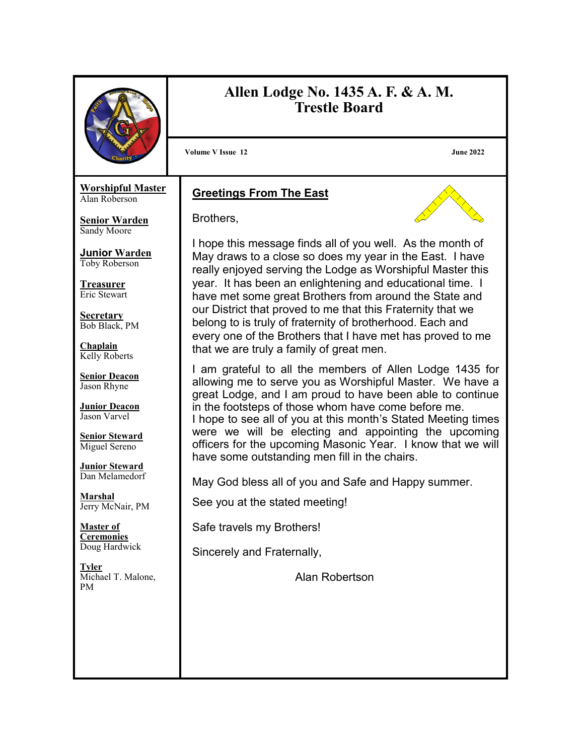|                                                                                                                                                                                                                                                                                                                                                                                                                                                                                                                                           | Allen Lodge No. 1435 A. F. & A. M.<br><b>Trestle Board</b>                                                                                                                                                                                                                                                                                                                                                                                                                                                                                                                                                                                                                                                                                                                                                                                                                                                                                                                                                                                                                                                                                                                                                                                                  |
|-------------------------------------------------------------------------------------------------------------------------------------------------------------------------------------------------------------------------------------------------------------------------------------------------------------------------------------------------------------------------------------------------------------------------------------------------------------------------------------------------------------------------------------------|-------------------------------------------------------------------------------------------------------------------------------------------------------------------------------------------------------------------------------------------------------------------------------------------------------------------------------------------------------------------------------------------------------------------------------------------------------------------------------------------------------------------------------------------------------------------------------------------------------------------------------------------------------------------------------------------------------------------------------------------------------------------------------------------------------------------------------------------------------------------------------------------------------------------------------------------------------------------------------------------------------------------------------------------------------------------------------------------------------------------------------------------------------------------------------------------------------------------------------------------------------------|
|                                                                                                                                                                                                                                                                                                                                                                                                                                                                                                                                           | <b>Volume V Issue 12</b><br><b>June 2022</b>                                                                                                                                                                                                                                                                                                                                                                                                                                                                                                                                                                                                                                                                                                                                                                                                                                                                                                                                                                                                                                                                                                                                                                                                                |
| <b>Worshipful Master</b><br>Alan Roberson<br><b>Senior Warden</b><br>Sandy Moore<br><b>Junior Warden</b><br>Toby Roberson<br><b>Treasurer</b><br>Eric Stewart<br><b>Secretary</b><br>Bob Black, PM<br>Chaplain<br>Kelly Roberts<br><b>Senior Deacon</b><br>Jason Rhyne<br><b>Junior Deacon</b><br>Jason Varvel<br><b>Senior Steward</b><br>Miguel Sereno<br><b>Junior Steward</b><br>Dan Melamedorf<br><u>Marshal</u><br>Jerry McNair, PM<br><b>Master of</b><br><u>Ceremonies</u><br>Doug Hardwick<br><b>Tyler</b><br>Michael T. Malone, | <b>Greetings From The East</b><br>Brothers,<br>I hope this message finds all of you well. As the month of<br>May draws to a close so does my year in the East. I have<br>really enjoyed serving the Lodge as Worshipful Master this<br>year. It has been an enlightening and educational time. I<br>have met some great Brothers from around the State and<br>our District that proved to me that this Fraternity that we<br>belong to is truly of fraternity of brotherhood. Each and<br>every one of the Brothers that I have met has proved to me<br>that we are truly a family of great men.<br>I am grateful to all the members of Allen Lodge 1435 for<br>allowing me to serve you as Worshipful Master. We have a<br>great Lodge, and I am proud to have been able to continue<br>in the footsteps of those whom have come before me.<br>I hope to see all of you at this month's Stated Meeting times<br>were we will be electing and appointing the upcoming<br>officers for the upcoming Masonic Year. I know that we will<br>have some outstanding men fill in the chairs.<br>May God bless all of you and Safe and Happy summer.<br>See you at the stated meeting!<br>Safe travels my Brothers!<br>Sincerely and Fraternally,<br>Alan Robertson |
| <b>PM</b>                                                                                                                                                                                                                                                                                                                                                                                                                                                                                                                                 |                                                                                                                                                                                                                                                                                                                                                                                                                                                                                                                                                                                                                                                                                                                                                                                                                                                                                                                                                                                                                                                                                                                                                                                                                                                             |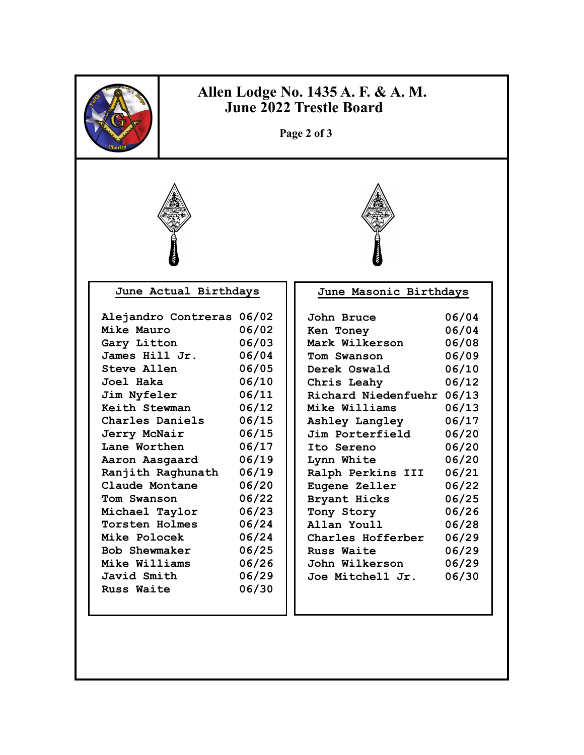